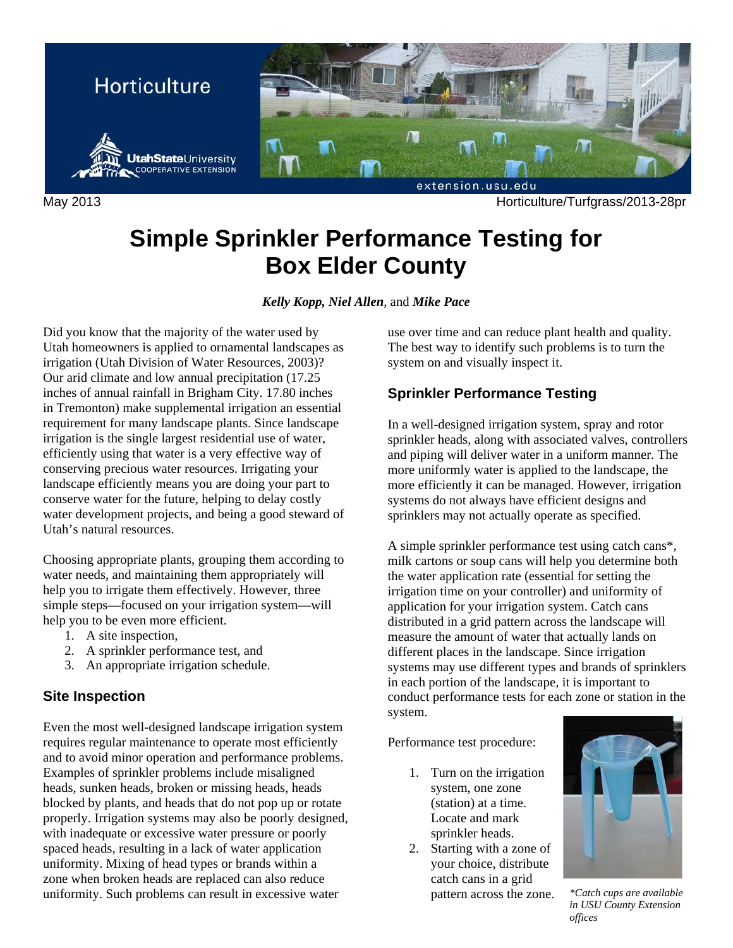

May 2013 Horticulture/Turfgrass/2013-28pr

# **Simple Sprinkler Performance Testing for Box Elder County**

## *Kelly Kopp, Niel Allen*, and *Mike Pace*

Did you know that the majority of the water used by Utah homeowners is applied to ornamental landscapes as irrigation (Utah Division of Water Resources, 2003)? Our arid climate and low annual precipitation (17.25 inches of annual rainfall in Brigham City. 17.80 inches in Tremonton) make supplemental irrigation an essential requirement for many landscape plants. Since landscape irrigation is the single largest residential use of water, efficiently using that water is a very effective way of conserving precious water resources. Irrigating your landscape efficiently means you are doing your part to conserve water for the future, helping to delay costly water development projects, and being a good steward of Utah's natural resources.

Choosing appropriate plants, grouping them according to water needs, and maintaining them appropriately will help you to irrigate them effectively. However, three simple steps—focused on your irrigation system—will help you to be even more efficient.

- 1. A site inspection,
- 2. A sprinkler performance test, and
- 3. An appropriate irrigation schedule.

## **Site Inspection**

Even the most well-designed landscape irrigation system requires regular maintenance to operate most efficiently and to avoid minor operation and performance problems. Examples of sprinkler problems include misaligned heads, sunken heads, broken or missing heads, heads blocked by plants, and heads that do not pop up or rotate properly. Irrigation systems may also be poorly designed, with inadequate or excessive water pressure or poorly spaced heads, resulting in a lack of water application uniformity. Mixing of head types or brands within a zone when broken heads are replaced can also reduce uniformity. Such problems can result in excessive water

use over time and can reduce plant health and quality. The best way to identify such problems is to turn the system on and visually inspect it.

## **Sprinkler Performance Testing**

In a well-designed irrigation system, spray and rotor sprinkler heads, along with associated valves, controllers and piping will deliver water in a uniform manner. The more uniformly water is applied to the landscape, the more efficiently it can be managed. However, irrigation systems do not always have efficient designs and sprinklers may not actually operate as specified.

A simple sprinkler performance test using catch cans\*, milk cartons or soup cans will help you determine both the water application rate (essential for setting the irrigation time on your controller) and uniformity of application for your irrigation system. Catch cans distributed in a grid pattern across the landscape will measure the amount of water that actually lands on different places in the landscape. Since irrigation systems may use different types and brands of sprinklers in each portion of the landscape, it is important to conduct performance tests for each zone or station in the system.

Performance test procedure:

- 1. Turn on the irrigation system, one zone (station) at a time. Locate and mark sprinkler heads.
- 2. Starting with a zone of your choice, distribute catch cans in a grid pattern across the zone. *\*Catch cups are available*



*in USU County Extension offices*